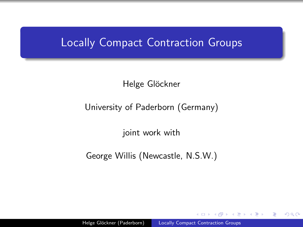## <span id="page-0-0"></span>Locally Compact Contraction Groups

Helge Glöckner

#### University of Paderborn (Germany)

joint work with

George Willis (Newcastle, N.S.W.)

 $\Omega$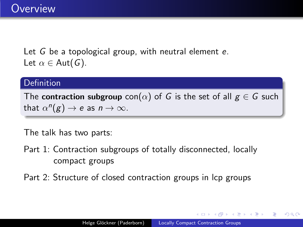Let G be a topological group, with neutral element e. Let  $\alpha \in$  Aut(G).

#### Definition

The contraction subgroup con( $\alpha$ ) of G is the set of all  $g \in G$  such that  $\alpha^n(g) \to e$  as  $n \to \infty$ .

The talk has two parts:

- Part 1: Contraction subgroups of totally disconnected, locally compact groups
- Part 2: Structure of closed contraction groups in lcp groups

つくい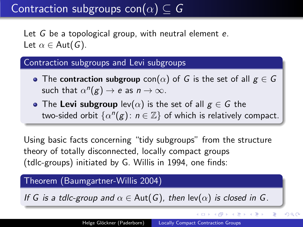<span id="page-2-0"></span>Let G be a topological group, with neutral element e. Let  $\alpha \in$  Aut(G).

#### Contraction subgroups and Levi subgroups

- The contraction subgroup  $con(\alpha)$  of G is the set of all  $g \in G$ such that  $\alpha^n(g) \to e$  as  $n \to \infty$ .
- The Levi subgroup  $lev(\alpha)$  is the set of all  $g \in G$  the two-sided orbit  $\{\alpha^n(g)\colon n\in\mathbb{Z}\}$  of which is relatively compact.

Using basic facts concerning "tidy subgroups" from the structure theory of totally disconnected, locally compact groups (tdlc-groups) initiated by G. Willis in 1994, one finds:

#### Theorem (Baumgartner-Willis 2004)

If G is a tdlc-group and  $\alpha \in$  Aut(G), then lev( $\alpha$ ) is closed in G.

イロト イ押 トイヨ トイヨ トー

 $QQ$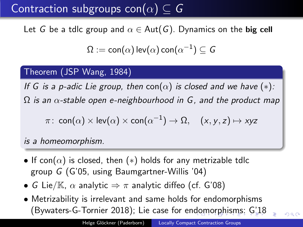<span id="page-3-0"></span>Let G be a tdlc group and  $\alpha \in$  Aut(G). Dynamics on the big cell

$$
\Omega:=\mathsf{con}(\alpha)\,\mathsf{lev}(\alpha)\,\mathsf{con}(\alpha^{-1})\subseteq\mathsf{G}
$$

#### Theorem (JSP Wang, 1984)

If G is a p-adic Lie group, then con( $\alpha$ ) is closed and we have (\*):  $\Omega$  is an  $\alpha$ -stable open e-neighbourhood in G, and the product map

$$
\pi\colon\operatorname{\mathsf{con}}(\alpha)\times\operatorname{\mathsf{lev}}(\alpha)\times\operatorname{\mathsf{con}}(\alpha^{-1})\to\Omega,\quad(x,y,z)\mapsto xyz
$$

is a homeomorphism.

- If con( $\alpha$ ) is closed, then (\*) holds for any metrizable tdlc group G (G'05, using Baumgartner-Willis '04)
- G Lie/ $\mathbb{K}$ ,  $\alpha$  analytic  $\Rightarrow \pi$  analytic diffeo (cf. G'08)
- Metrizability is irrelevant and same holds for endomorphisms (Bywaters-G-Tornier 2018); Lie case for en[do](#page-2-0)[mo](#page-4-0)[r](#page-2-0)[ph](#page-3-0)[i](#page-4-0)[sm](#page-0-0)[s:](#page-18-0) [G'](#page-0-0)[18](#page-18-0)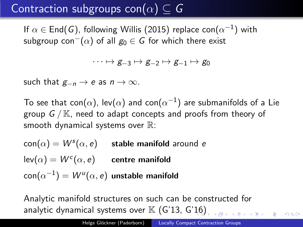<span id="page-4-0"></span>If  $\alpha\in\mathsf{End}(\mathsf{G})$ , following Willis (2015) replace con $(\alpha^{-1})$  with subgroup con<sup>-</sup> $(\alpha)$  of all  $g_0 \in G$  for which there exist

 $\cdots \mapsto g_{-3} \mapsto g_{-2} \mapsto g_{-1} \mapsto g_0$ 

such that  $g_{-n} \to e$  as  $n \to \infty$ .

To see that con $(\alpha)$ , lev $(\alpha)$  and con $(\alpha^{-1})$  are submanifolds of a Lie group  $G/N$ , need to adapt concepts and proofs from theory of smooth dynamical systems over  $\mathbb{R}$ :

 $\mathsf{con}(\alpha) = W^{\mathsf{s}}(\alpha,\mathsf{e})$  stable manifold around  $\mathsf{e}$  $\mathsf{lev}(\alpha) = W^c(\alpha, e)$  centre manifold  $\mathsf{con}(\alpha^{-1}) = \mathsf{\mathcal{W}^{\mathit{u}}}(\alpha, e)$  unstable manifold

Analytic manifold structures on such can be constructed for analytic dynamical systems over  $K$  (G'13, G['16](#page-3-0)[\)](#page-5-0)

 $ORO$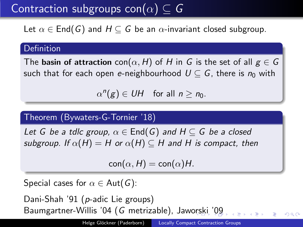<span id="page-5-0"></span>Let  $\alpha \in \text{End}(G)$  and  $H \subseteq G$  be an  $\alpha$ -invariant closed subgroup.

#### Definition

The basin of attraction con $(\alpha, H)$  of H in G is the set of all  $g \in G$ such that for each open e-neighbourhood  $U \subset G$ , there is  $n_0$  with

 $\alpha^n(g) \in UH$  for all  $n \geq n_0$ .

#### Theorem (Bywaters-G-Tornier '18)

Let G be a tdlc group,  $\alpha \in$  End(G) and  $H \subseteq G$  be a closed subgroup. If  $\alpha(H) = H$  or  $\alpha(H) \subseteq H$  and H is compact, then

 $con(\alpha, H) = con(\alpha)H$ .

Special cases for  $\alpha \in$  Aut(G):

Dani-Shah '91 (p-adic Lie groups) Baumgartner-Willis '04 (G metrizable), Jaw[ors](#page-4-0)[ki](#page-6-0) ['0](#page-4-0)[9](#page-5-0)

 $QQ$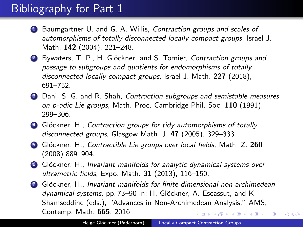# <span id="page-6-0"></span>Bibliography for Part 1

- **1** Baumgartner U. and G. A. Willis, Contraction groups and scales of automorphisms of totally disconnected locally compact groups, Israel J. Math. 142 (2004), 221–248.
- 2 Bywaters, T. P., H. Glöckner, and S. Tornier, Contraction groups and passage to subgroups and quotients for endomorphisms of totally disconnected locally compact groups, Israel J. Math. 227 (2018), 691–752.
- **3** Dani, S. G. and R. Shah, Contraction subgroups and semistable measures on p-adic Lie groups, Math. Proc. Cambridge Phil. Soc. 110 (1991), 299–306.
- 4 Glöckner, H., Contraction groups for tidy automorphisms of totally disconnected groups, Glasgow Math. J. 47 (2005), 329-333.
- **6** Glöckner, H., Contractible Lie groups over local fields, Math. Z. 260 (2008) 889–904.
- **6** Glöckner, H., Invariant manifolds for analytic dynamical systems over ultrametric fields, Expo. Math. 31 (2013), 116–150.
- **7** Glöckner, H., Invariant manifolds for finite-dimensional non-archimedean dynamical systems, pp. 73–90 in: H. Glöckner, A. Escassut, and K. Shamseddine (eds.), "Advances in Non-Archimedean Analysis," AMS, Contemp. Math. 665, 2016. **≮ロト ⊀何ト ⊀ ヨト ⊀ ヨト** E

 $QQ$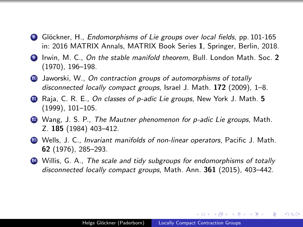- 8 Glöckner, H., *Endomorphisms of Lie groups over local fields*, pp. 101-165 in: 2016 MATRIX Annals, MATRIX Book Series 1, Springer, Berlin, 2018.
- <sup>9</sup> Irwin, M. C., On the stable manifold theorem, Bull. London Math. Soc. 2 (1970), 196–198.
- <sup>10</sup> Jaworski, W., On contraction groups of automorphisms of totally disconnected locally compact groups, Israel J. Math. 172 (2009), 1-8.
- 11 Raja, C. R. E., On classes of p-adic Lie groups, New York J. Math. 5 (1999), 101–105.
- **2** Wang, J. S. P., The Mautner phenomenon for p-adic Lie groups, Math. Z. 185 (1984) 403–412.
- **13** Wells, J. C., *Invariant manifolds of non-linear operators*, Pacific J. Math. 62 (1976), 285–293.
- **44** Willis, G. A., The scale and tidy subgroups for endomorphisms of totally disconnected locally compact groups, Math. Ann. 361 (2015), 403-442.

∢ロ ▶ ∢母 ▶ ∢ ヨ ▶ ∢ ヨ ▶ ↓

э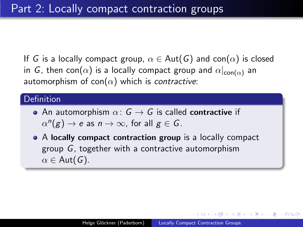If G is a locally compact group,  $\alpha \in \text{Aut}(G)$  and con $(\alpha)$  is closed in G, then con( $\alpha$ ) is a locally compact group and  $\alpha|_{con(\alpha)}$  an automorphism of con( $\alpha$ ) which is contractive:

#### **Definition**

- An automorphism  $\alpha: G \rightarrow G$  is called contractive if  $\alpha^n(g) \to e$  as  $n \to \infty$ , for all  $g \in G$ .
- A locally compact contraction group is a locally compact group G, together with a contractive automorphism  $\alpha \in$  Aut(G).

つくへ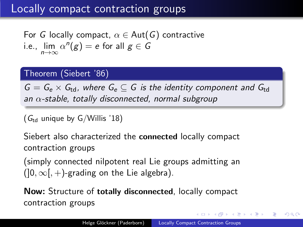# Locally compact contraction groups

For G locally compact,  $\alpha \in \text{Aut}(G)$  contractive i.e., lim  $\alpha^n(g) = e$  for all  $g \in G$  $n \rightarrow \infty$ 

#### Theorem (Siebert '86)

 $G = G_e \times G_{td}$ , where  $G_e \subseteq G$  is the identity component and  $G_{td}$ an  $\alpha$ -stable, totally disconnected, normal subgroup

( $G_{\text{td}}$  unique by G/Willis '18)

Siebert also characterized the connected locally compact contraction groups

(simply connected nilpotent real Lie groups admitting an  $(]0,\infty[,+]$ -grading on the Lie algebra).

Now: Structure of totally disconnected, locally compact contraction groups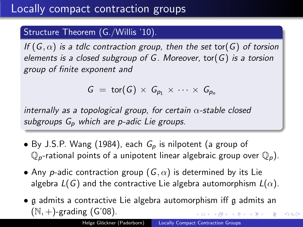#### Structure Theorem (G./Willis '10).

If  $(G, \alpha)$  is a tdlc contraction group, then the set tor(G) of torsion elements is a closed subgroup of G. Moreover, tor( $G$ ) is a torsion group of finite exponent and

$$
G = \text{tor}(G) \times G_{p_1} \times \cdots \times G_{p_n}
$$

internally as a topological group, for certain  $\alpha$ -stable closed subgroups  $G_p$  which are p-adic Lie groups.

- By J.S.P. Wang (1984), each  $G_p$  is nilpotent (a group of  $\mathbb{Q}_p$ -rational points of a unipotent linear algebraic group over  $\mathbb{Q}_p$ ).
- Any p-adic contraction group  $(G, \alpha)$  is determined by its Lie algebra  $L(G)$  and the contractive Lie algebra automorphism  $L(\alpha)$ .
- g admits a contractive Lie algebra automorphism iff g admits an  $(N, +)$ -grading  $(G'08)$ .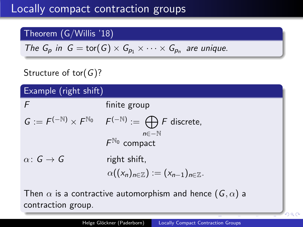## Theorem (G/Willis '18)

The 
$$
G_p
$$
 in  $G = \text{tor}(G) \times G_{p_1} \times \cdots \times G_{p_n}$  are unique.

## Structure of tor( $G$ )?

| Example (right shift) |                                                                                         |
|-----------------------|-----------------------------------------------------------------------------------------|
| F                     | finite group                                                                            |
|                       | $G := F^{(-N)} \times F^{N_0}$ $F^{(-N)} := \bigoplus F$ discrete,<br>$n\in-\mathbb{N}$ |
|                       | $F^{\mathbb{N}_0}$ compact                                                              |
| $\alpha: G \to G$     | right shift,                                                                            |
|                       | $\alpha((x_n)_{n\in\mathbb{Z}}):=(x_{n-1})_{n\in\mathbb{Z}}.$                           |

Then  $\alpha$  is a contractive automorphism and hence  $(G, \alpha)$  a contraction group.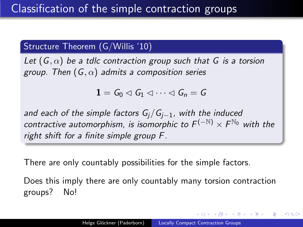### Structure Theorem (G/Willis '10)

Let  $(G, \alpha)$  be a tdlc contraction group such that G is a torsion group. Then  $(G, \alpha)$  admits a composition series

 $1 = G_0 \triangleleft G_1 \triangleleft \cdots \triangleleft G_n = G$ 

and each of the simple factors  $G_i/G_{i-1}$ , with the induced contractive automorphism, is isomorphic to  $F^{(-\mathbb{N})} \times F^{\mathbb{N}_0}$  with the right shift for a finite simple group F.

There are only countably possibilities for the simple factors.

Does this imply there are only countably many torsion contraction groups? No!

押 ▶ イヨ ▶ イヨ ▶ │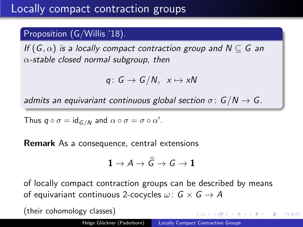### Proposition (G/Willis '18).

If  $(G, \alpha)$  is a locally compact contraction group and  $N \subseteq G$  an  $\alpha$ -stable closed normal subgroup, then

$$
q\colon G\to G/N,\ \ x\mapsto xN
$$

admits an equivariant continuous global section  $\sigma: G/N \to G$ .

Thus  $q \circ \sigma = \text{id}_{G/N}$  and  $\alpha \circ \sigma = \sigma \circ \alpha'$ .

Remark As a consequence, central extensions

$$
1\to A\to \widehat{\mathsf{G}}\to \mathsf{G}\to 1
$$

of locally compact contraction groups can be described by means of equivariant continuous 2-cocycles  $\omega: G \times G \rightarrow A$ 

(their cohomology classes)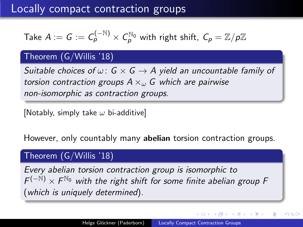## Locally compact contraction groups

Take 
$$
A := G := C_p^{(-N)} \times C_p^{N_0}
$$
 with right shift,  $C_p = \mathbb{Z}/p\mathbb{Z}$ 

#### Theorem (G/Willis '18)

Suitable choices of  $\omega: G \times G \rightarrow A$  yield an uncountable family of torsion contraction groups  $A \times_{\omega} G$  which are pairwise non-isomorphic as contraction groups.

[Notably, simply take  $\omega$  bi-additive]

However, only countably many abelian torsion contraction groups.

#### Theorem (G/Willis '18)

Every abelian torsion contraction group is isomorphic to  $F^{(-N)} \times F^{\mathbb{N}_0}$  with the right shift for some finite abelian group F (which is uniquely determined).

つくい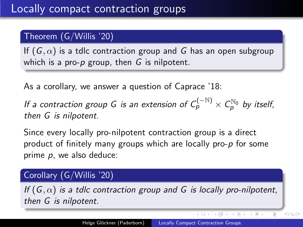## Theorem (G/Willis '20)

If  $(G, \alpha)$  is a tdlc contraction group and G has an open subgroup which is a pro-p group, then  $G$  is nilpotent.

As a corollary, we answer a question of Caprace '18:

If a contraction group G is an extension of  $C_{\bm{\rho}}^{(-\mathbb{N})}\times C_{\bm{\rho}}^{\mathbb{N}_0}$  by itself, then G is nilpotent.

Since every locally pro-nilpotent contraction group is a direct product of finitely many groups which are locally pro-p for some prime  $p$ , we also deduce:

### Corollary (G/Willis '20)

If  $(G, \alpha)$  is a tdlc contraction group and G is locally pro-nilpotent, then G is nilpotent.

 $\mathcal{A} \subseteq \mathcal{F} \times \mathcal{A} \oplus \mathcal{F} \times \mathcal{A} \oplus \mathcal{F} \times \mathcal{A}$ 

Þ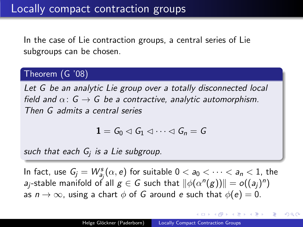In the case of Lie contraction groups, a central series of Lie subgroups can be chosen.

### Theorem (G '08)

Let G be an analytic Lie group over a totally disconnected local field and  $\alpha: G \rightarrow G$  be a contractive, analytic automorphism. Then G admits a central series

$$
1=G_0\lhd G_1\lhd\cdots\lhd G_n=G
$$

such that each G<sub>j</sub> is a Lie subgroup.

In fact, use  $G_j = W^s_{a_j}(\alpha, e)$  for suitable  $0 < a_0 < \cdots < a_n < 1$ , the  $a_j$ -stable manifold of all  $g\in G$  such that  $\|\phi(\alpha^n(g))\|=o((a_j)^n)$ as  $n \to \infty$ , using a chart  $\phi$  of G around e such that  $\phi(e) = 0$ .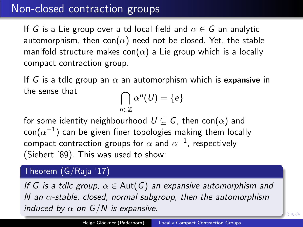# Non-closed contraction groups

If G is a Lie group over a td local field and  $\alpha \in G$  an analytic automorphism, then con( $\alpha$ ) need not be closed. Yet, the stable manifold structure makes con( $\alpha$ ) a Lie group which is a locally compact contraction group.

If G is a tdlc group an  $\alpha$  an automorphism which is expansive in the sense that

$$
\bigcap_{n\in\mathbb{Z}}\alpha^n(U)=\{e\}
$$

for some identity neighbourhood  $U \subseteq G$ , then con $(\alpha)$  and  $\mathsf{con}(\alpha^{-1})$  can be given finer topologies making them locally compact contraction groups for  $\alpha$  and  $\alpha^{-1}$ , respectively (Siebert '89). This was used to show:

## Theorem (G/Raja '17)

If G is a tdlc group,  $\alpha \in$  Aut(G) an expansive automorphism and N an  $\alpha$ -stable, closed, normal subgroup, then the automorphism induced by  $\alpha$  on  $G/N$  is expansive.